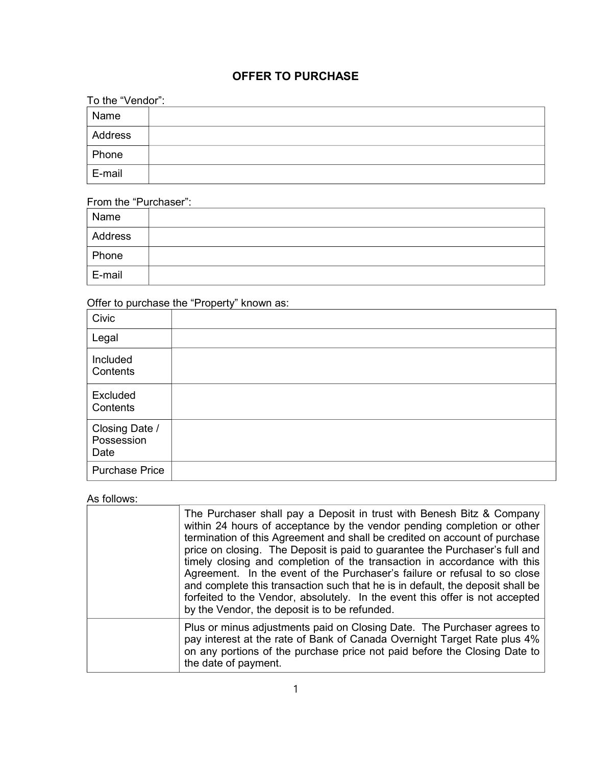# OFFER TO PURCHASE

| To the "Vendor": |  |  |  |  |
|------------------|--|--|--|--|
| Name             |  |  |  |  |
| Address          |  |  |  |  |
| Phone            |  |  |  |  |
| E-mail           |  |  |  |  |

## From the "Purchaser":

| Name    |  |
|---------|--|
| Address |  |
| Phone   |  |
| E-mail  |  |

## Offer to purchase the "Property" known as:

| Civic                                |  |
|--------------------------------------|--|
| Legal                                |  |
| Included<br>Contents                 |  |
| Excluded<br>Contents                 |  |
| Closing Date /<br>Possession<br>Date |  |
| <b>Purchase Price</b>                |  |

### As follows:

| The Purchaser shall pay a Deposit in trust with Benesh Bitz & Company<br>within 24 hours of acceptance by the vendor pending completion or other<br>termination of this Agreement and shall be credited on account of purchase<br>price on closing. The Deposit is paid to guarantee the Purchaser's full and<br>timely closing and completion of the transaction in accordance with this<br>Agreement. In the event of the Purchaser's failure or refusal to so close<br>and complete this transaction such that he is in default, the deposit shall be<br>forfeited to the Vendor, absolutely. In the event this offer is not accepted<br>by the Vendor, the deposit is to be refunded. |
|-------------------------------------------------------------------------------------------------------------------------------------------------------------------------------------------------------------------------------------------------------------------------------------------------------------------------------------------------------------------------------------------------------------------------------------------------------------------------------------------------------------------------------------------------------------------------------------------------------------------------------------------------------------------------------------------|
| Plus or minus adjustments paid on Closing Date. The Purchaser agrees to<br>pay interest at the rate of Bank of Canada Overnight Target Rate plus 4%<br>on any portions of the purchase price not paid before the Closing Date to<br>the date of payment.                                                                                                                                                                                                                                                                                                                                                                                                                                  |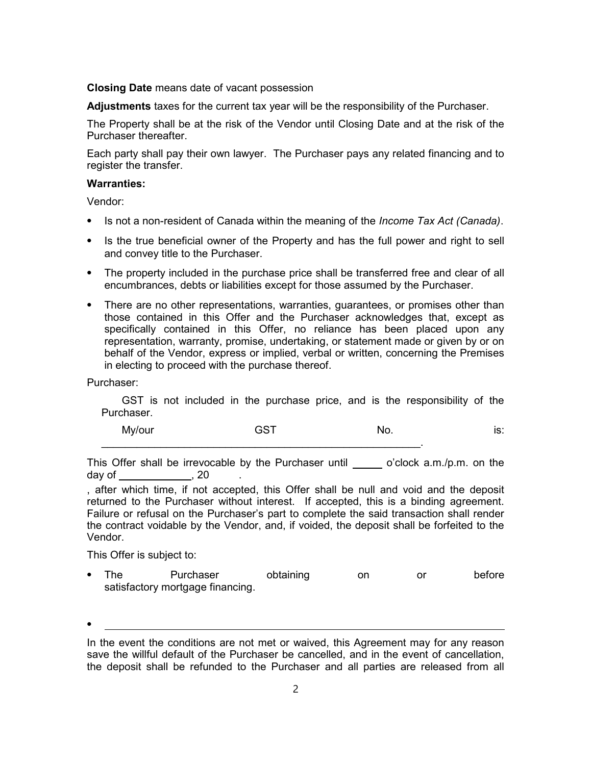Closing Date means date of vacant possession

Adjustments taxes for the current tax year will be the responsibility of the Purchaser.

The Property shall be at the risk of the Vendor until Closing Date and at the risk of the Purchaser thereafter.

Each party shall pay their own lawyer. The Purchaser pays any related financing and to register the transfer.

#### Warranties:

Vendor:

- Is not a non-resident of Canada within the meaning of the *Income Tax Act (Canada)*.
- Is the true beneficial owner of the Property and has the full power and right to sell and convey title to the Purchaser.
- ⦁ The property included in the purchase price shall be transferred free and clear of all encumbrances, debts or liabilities except for those assumed by the Purchaser.
- ⦁ There are no other representations, warranties, guarantees, or promises other than those contained in this Offer and the Purchaser acknowledges that, except as specifically contained in this Offer, no reliance has been placed upon any representation, warranty, promise, undertaking, or statement made or given by or on behalf of the Vendor, express or implied, verbal or written, concerning the Premises in electing to proceed with the purchase thereof.

Purchaser:

GST is not included in the purchase price, and is the responsibility of the Purchaser.

My/our GST No. is:

This Offer shall be irrevocable by the Purchaser until o'clock a.m./p.m. on the day of the case of the case of  $\sim$  20  $\,$ 

 $\mathcal{L}_\text{max} = \mathcal{L}_\text{max} = \mathcal{L}_\text{max} = \mathcal{L}_\text{max} = \mathcal{L}_\text{max} = \mathcal{L}_\text{max} = \mathcal{L}_\text{max} = \mathcal{L}_\text{max} = \mathcal{L}_\text{max} = \mathcal{L}_\text{max} = \mathcal{L}_\text{max} = \mathcal{L}_\text{max} = \mathcal{L}_\text{max} = \mathcal{L}_\text{max} = \mathcal{L}_\text{max} = \mathcal{L}_\text{max} = \mathcal{L}_\text{max} = \mathcal{L}_\text{max} = \mathcal{$ 

, after which time, if not accepted, this Offer shall be null and void and the deposit returned to the Purchaser without interest. If accepted, this is a binding agreement. Failure or refusal on the Purchaser's part to complete the said transaction shall render the contract voidable by the Vendor, and, if voided, the deposit shall be forfeited to the Vendor.

This Offer is subject to:

⦁

• The Purchaser obtaining on or before satisfactory mortgage financing.

In the event the conditions are not met or waived, this Agreement may for any reason save the willful default of the Purchaser be cancelled, and in the event of cancellation, the deposit shall be refunded to the Purchaser and all parties are released from all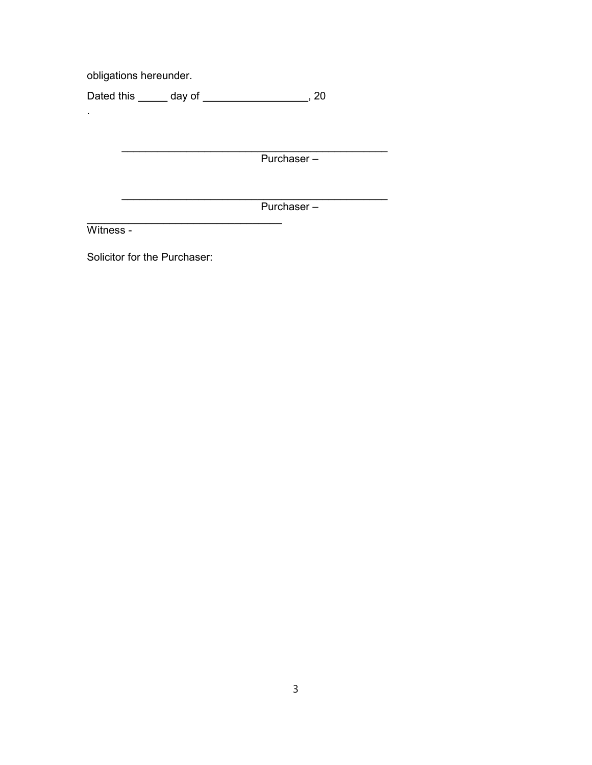obligations hereunder.

Dated this \_\_\_\_\_\_ day of \_\_\_\_\_\_\_\_\_\_\_\_\_\_\_\_\_\_\_\_\_, 20

Purchaser -

Purchaser -

Witness -

l,

Solicitor for the Purchaser: